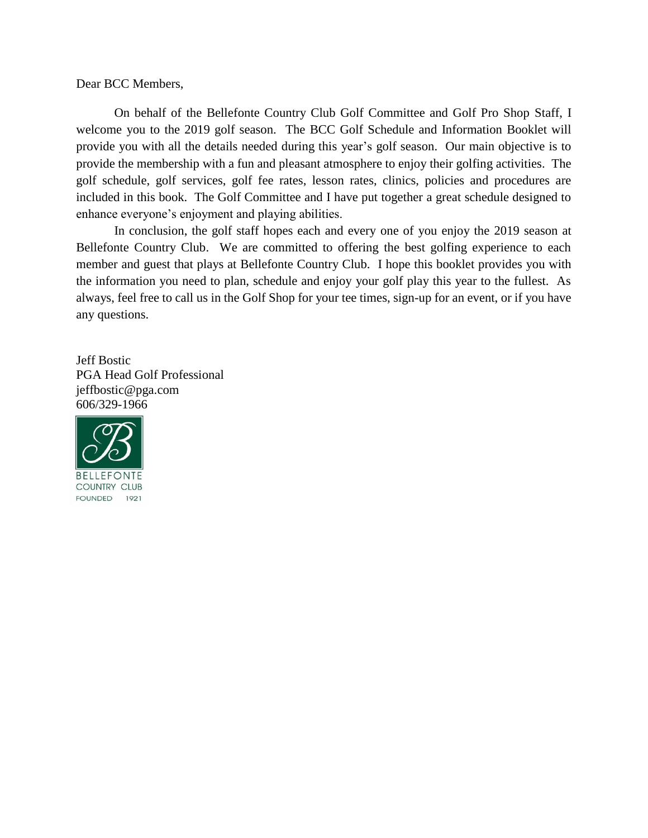Dear BCC Members,

On behalf of the Bellefonte Country Club Golf Committee and Golf Pro Shop Staff, I welcome you to the 2019 golf season. The BCC Golf Schedule and Information Booklet will provide you with all the details needed during this year's golf season. Our main objective is to provide the membership with a fun and pleasant atmosphere to enjoy their golfing activities. The golf schedule, golf services, golf fee rates, lesson rates, clinics, policies and procedures are included in this book. The Golf Committee and I have put together a great schedule designed to enhance everyone's enjoyment and playing abilities.

In conclusion, the golf staff hopes each and every one of you enjoy the 2019 season at Bellefonte Country Club. We are committed to offering the best golfing experience to each member and guest that plays at Bellefonte Country Club. I hope this booklet provides you with the information you need to plan, schedule and enjoy your golf play this year to the fullest. As always, feel free to call us in the Golf Shop for your tee times, sign-up for an event, or if you have any questions.

Jeff Bostic PGA Head Golf Professional jeffbostic@pga.com 606/329-1966

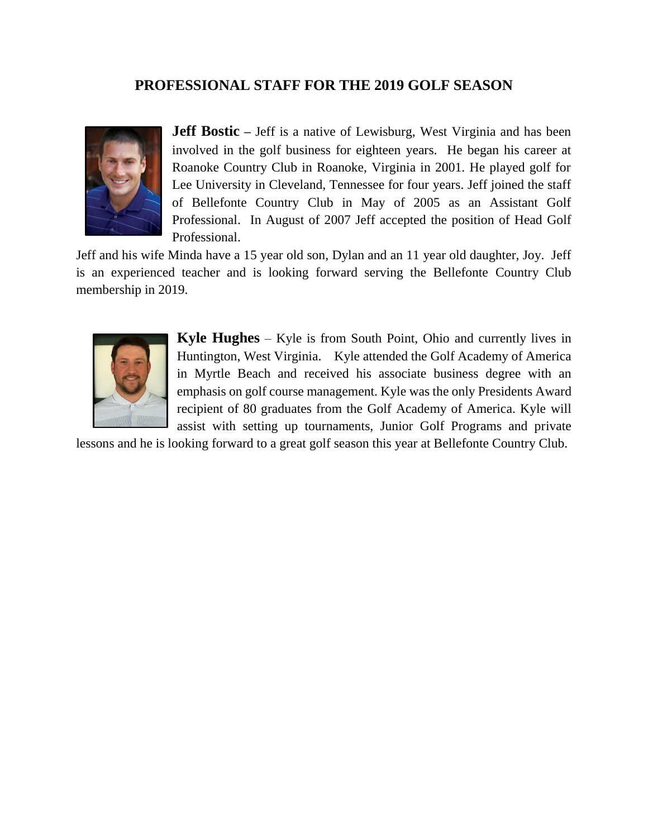# **PROFESSIONAL STAFF FOR THE 2019 GOLF SEASON**



**Jeff Bostic** – Jeff is a native of Lewisburg, West Virginia and has been involved in the golf business for eighteen years. He began his career at Roanoke Country Club in Roanoke, Virginia in 2001. He played golf for Lee University in Cleveland, Tennessee for four years. Jeff joined the staff of Bellefonte Country Club in May of 2005 as an Assistant Golf Professional. In August of 2007 Jeff accepted the position of Head Golf Professional.

Jeff and his wife Minda have a 15 year old son, Dylan and an 11 year old daughter, Joy. Jeff is an experienced teacher and is looking forward serving the Bellefonte Country Club membership in 2019.



**Kyle Hughes** – Kyle is from South Point, Ohio and currently lives in Huntington, West Virginia. Kyle attended the Golf Academy of America in Myrtle Beach and received his associate business degree with an emphasis on golf course management. Kyle was the only Presidents Award recipient of 80 graduates from the Golf Academy of America. Kyle will assist with setting up tournaments, Junior Golf Programs and private

lessons and he is looking forward to a great golf season this year at Bellefonte Country Club.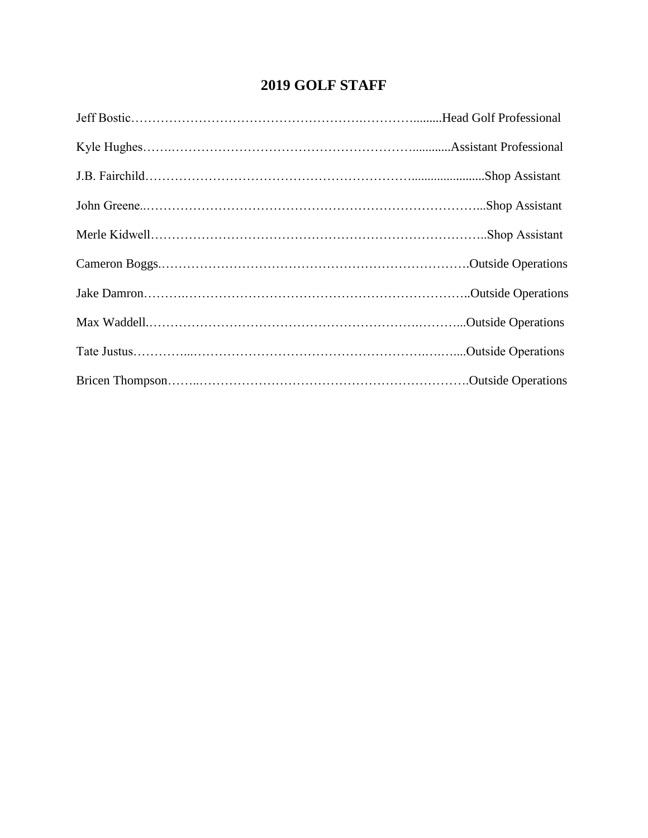# **2019 GOLF STAFF**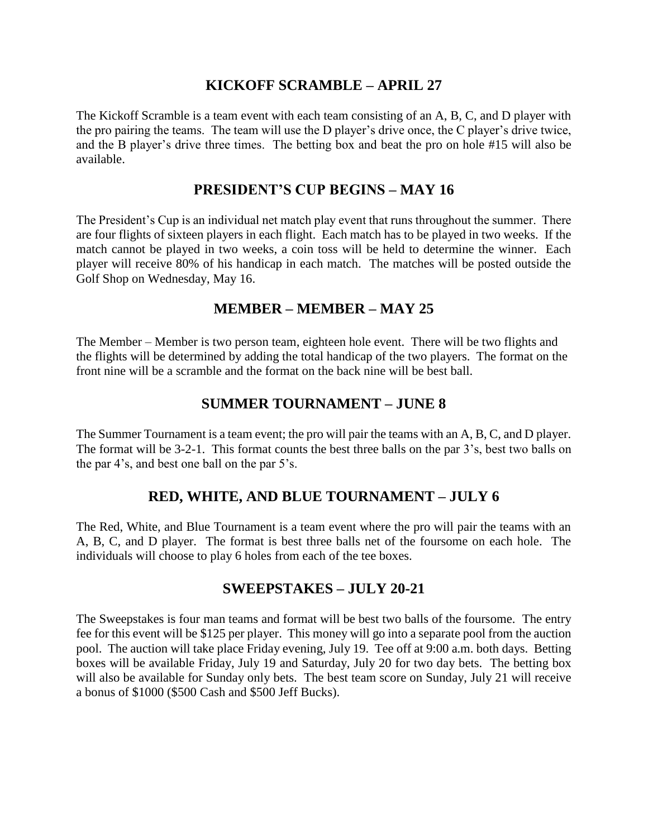## **KICKOFF SCRAMBLE – APRIL 27**

The Kickoff Scramble is a team event with each team consisting of an A, B, C, and D player with the pro pairing the teams. The team will use the D player's drive once, the C player's drive twice, and the B player's drive three times. The betting box and beat the pro on hole #15 will also be available.

#### **PRESIDENT'S CUP BEGINS – MAY 16**

The President's Cup is an individual net match play event that runs throughout the summer. There are four flights of sixteen players in each flight. Each match has to be played in two weeks. If the match cannot be played in two weeks, a coin toss will be held to determine the winner. Each player will receive 80% of his handicap in each match. The matches will be posted outside the Golf Shop on Wednesday, May 16.

## **MEMBER – MEMBER – MAY 25**

The Member – Member is two person team, eighteen hole event. There will be two flights and the flights will be determined by adding the total handicap of the two players. The format on the front nine will be a scramble and the format on the back nine will be best ball.

# **SUMMER TOURNAMENT – JUNE 8**

The Summer Tournament is a team event; the pro will pair the teams with an A, B, C, and D player. The format will be 3-2-1. This format counts the best three balls on the par 3's, best two balls on the par 4's, and best one ball on the par 5's.

# **RED, WHITE, AND BLUE TOURNAMENT – JULY 6**

The Red, White, and Blue Tournament is a team event where the pro will pair the teams with an A, B, C, and D player. The format is best three balls net of the foursome on each hole. The individuals will choose to play 6 holes from each of the tee boxes.

## **SWEEPSTAKES – JULY 20-21**

The Sweepstakes is four man teams and format will be best two balls of the foursome. The entry fee for this event will be \$125 per player. This money will go into a separate pool from the auction pool. The auction will take place Friday evening, July 19. Tee off at 9:00 a.m. both days. Betting boxes will be available Friday, July 19 and Saturday, July 20 for two day bets. The betting box will also be available for Sunday only bets. The best team score on Sunday, July 21 will receive a bonus of \$1000 (\$500 Cash and \$500 Jeff Bucks).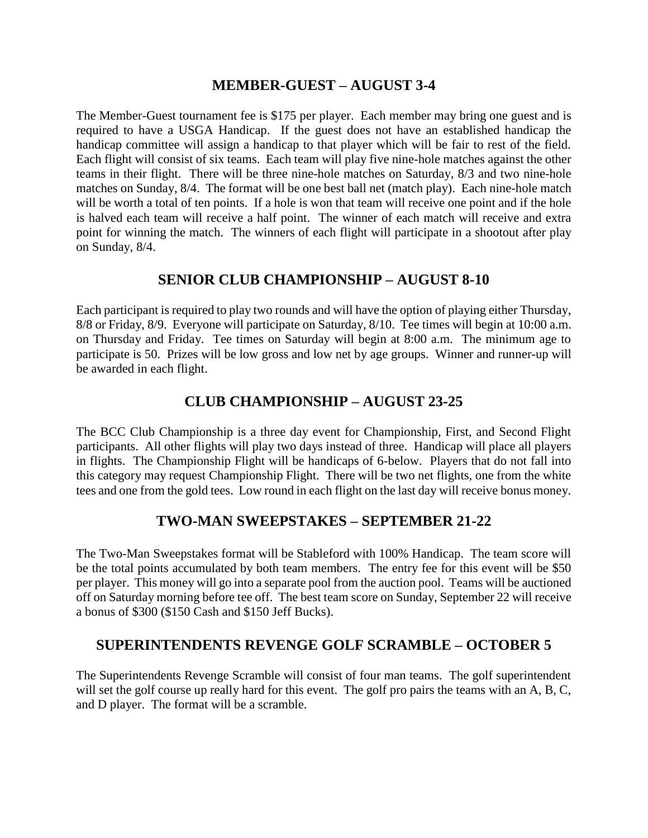## **MEMBER-GUEST – AUGUST 3-4**

The Member-Guest tournament fee is \$175 per player. Each member may bring one guest and is required to have a USGA Handicap. If the guest does not have an established handicap the handicap committee will assign a handicap to that player which will be fair to rest of the field. Each flight will consist of six teams. Each team will play five nine-hole matches against the other teams in their flight. There will be three nine-hole matches on Saturday, 8/3 and two nine-hole matches on Sunday, 8/4. The format will be one best ball net (match play). Each nine-hole match will be worth a total of ten points. If a hole is won that team will receive one point and if the hole is halved each team will receive a half point. The winner of each match will receive and extra point for winning the match. The winners of each flight will participate in a shootout after play on Sunday, 8/4.

# **SENIOR CLUB CHAMPIONSHIP – AUGUST 8-10**

Each participant is required to play two rounds and will have the option of playing either Thursday, 8/8 or Friday, 8/9. Everyone will participate on Saturday, 8/10. Tee times will begin at 10:00 a.m. on Thursday and Friday. Tee times on Saturday will begin at 8:00 a.m. The minimum age to participate is 50. Prizes will be low gross and low net by age groups. Winner and runner-up will be awarded in each flight.

# **CLUB CHAMPIONSHIP – AUGUST 23-25**

The BCC Club Championship is a three day event for Championship, First, and Second Flight participants. All other flights will play two days instead of three. Handicap will place all players in flights. The Championship Flight will be handicaps of 6-below. Players that do not fall into this category may request Championship Flight. There will be two net flights, one from the white tees and one from the gold tees. Low round in each flight on the last day will receive bonus money.

# **TWO-MAN SWEEPSTAKES – SEPTEMBER 21-22**

The Two-Man Sweepstakes format will be Stableford with 100% Handicap. The team score will be the total points accumulated by both team members. The entry fee for this event will be \$50 per player. This money will go into a separate pool from the auction pool. Teams will be auctioned off on Saturday morning before tee off. The best team score on Sunday, September 22 will receive a bonus of \$300 (\$150 Cash and \$150 Jeff Bucks).

# **SUPERINTENDENTS REVENGE GOLF SCRAMBLE – OCTOBER 5**

The Superintendents Revenge Scramble will consist of four man teams. The golf superintendent will set the golf course up really hard for this event. The golf pro pairs the teams with an A, B, C, and D player. The format will be a scramble.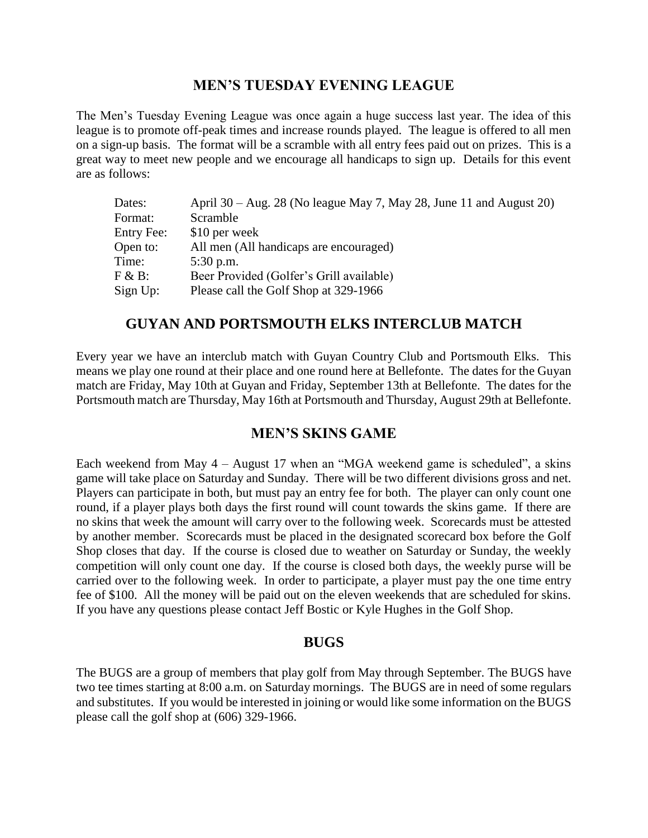## **MEN'S TUESDAY EVENING LEAGUE**

The Men's Tuesday Evening League was once again a huge success last year. The idea of this league is to promote off-peak times and increase rounds played. The league is offered to all men on a sign-up basis. The format will be a scramble with all entry fees paid out on prizes. This is a great way to meet new people and we encourage all handicaps to sign up. Details for this event are as follows:

| Dates:            | April 30 – Aug. 28 (No league May 7, May 28, June 11 and August 20) |
|-------------------|---------------------------------------------------------------------|
| Format:           | Scramble                                                            |
| <b>Entry Fee:</b> | \$10 per week                                                       |
| Open to:          | All men (All handicaps are encouraged)                              |
| Time:             | $5:30$ p.m.                                                         |
| $F & B$ :         | Beer Provided (Golfer's Grill available)                            |
| Sign Up:          | Please call the Golf Shop at 329-1966                               |

## **GUYAN AND PORTSMOUTH ELKS INTERCLUB MATCH**

Every year we have an interclub match with Guyan Country Club and Portsmouth Elks. This means we play one round at their place and one round here at Bellefonte. The dates for the Guyan match are Friday, May 10th at Guyan and Friday, September 13th at Bellefonte. The dates for the Portsmouth match are Thursday, May 16th at Portsmouth and Thursday, August 29th at Bellefonte.

## **MEN'S SKINS GAME**

Each weekend from May 4 – August 17 when an "MGA weekend game is scheduled", a skins game will take place on Saturday and Sunday. There will be two different divisions gross and net. Players can participate in both, but must pay an entry fee for both. The player can only count one round, if a player plays both days the first round will count towards the skins game. If there are no skins that week the amount will carry over to the following week. Scorecards must be attested by another member. Scorecards must be placed in the designated scorecard box before the Golf Shop closes that day. If the course is closed due to weather on Saturday or Sunday, the weekly competition will only count one day. If the course is closed both days, the weekly purse will be carried over to the following week. In order to participate, a player must pay the one time entry fee of \$100. All the money will be paid out on the eleven weekends that are scheduled for skins. If you have any questions please contact Jeff Bostic or Kyle Hughes in the Golf Shop.

#### **BUGS**

The BUGS are a group of members that play golf from May through September. The BUGS have two tee times starting at 8:00 a.m. on Saturday mornings. The BUGS are in need of some regulars and substitutes. If you would be interested in joining or would like some information on the BUGS please call the golf shop at (606) 329-1966.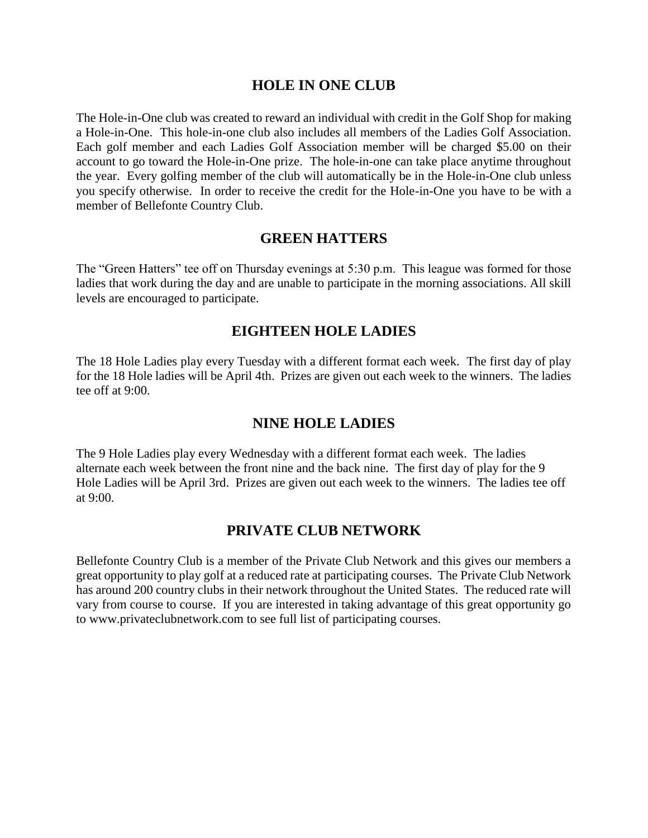## **HOLE IN ONE CLUB**

The Hole-in-One club was created to reward an individual with credit in the Golf Shop for making a Hole-in-One. This hole-in-one club also includes all members of the Ladies Golf Association. Each golf member and each Ladies Golf Association member will be charged \$5.00 on their account to go toward the Hole-in-One prize. The hole-in-one can take place anytime throughout the year. Every golfing member of the club will automatically be in the Hole-in-One club unless you specify otherwise. In order to receive the credit for the Hole-in-One you have to be with a member of Bellefonte Country Club.

## **GREEN HATTERS**

The "Green Hatters" tee off on Thursday evenings at 5:30 p.m. This league was formed for those ladies that work during the day and are unable to participate in the morning associations. All skill levels are encouraged to participate.

## **EIGHTEEN HOLE LADIES**

The 18 Hole Ladies play every Tuesday with a different format each week. The first day of play for the 18 Hole ladies will be April 4th. Prizes are given out each week to the winners. The ladies tee off at 9:00.

## **NINE HOLE LADIES**

The 9 Hole Ladies play every Wednesday with a different format each week. The ladies alternate each week between the front nine and the back nine. The first day of play for the 9 Hole Ladies will be April 3rd. Prizes are given out each week to the winners. The ladies tee off at 9:00.

## **PRIVATE CLUB NETWORK**

Bellefonte Country Club is a member of the Private Club Network and this gives our members a great opportunity to play golf at a reduced rate at participating courses. The Private Club Network has around 200 country clubs in their network throughout the United States. The reduced rate will vary from course to course. If you are interested in taking advantage of this great opportunity go to [www.privateclubnetwork.com](http://www.privateclubnetwork.com/) to see full list of participating courses.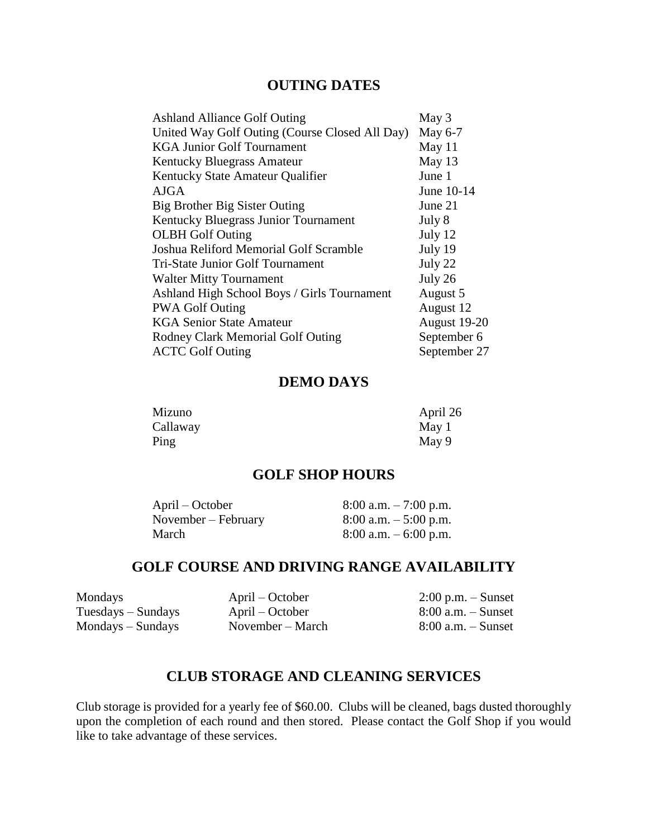## **OUTING DATES**

| <b>Ashland Alliance Golf Outing</b>            | May 3        |
|------------------------------------------------|--------------|
| United Way Golf Outing (Course Closed All Day) | May 6-7      |
| <b>KGA Junior Golf Tournament</b>              | May 11       |
| Kentucky Bluegrass Amateur                     | May 13       |
| Kentucky State Amateur Qualifier               | June 1       |
| <b>AJGA</b>                                    | June 10-14   |
| Big Brother Big Sister Outing                  | June 21      |
| Kentucky Bluegrass Junior Tournament           | July 8       |
| <b>OLBH</b> Golf Outing                        | July 12      |
| Joshua Reliford Memorial Golf Scramble         | July 19      |
| Tri-State Junior Golf Tournament               | July 22      |
| <b>Walter Mitty Tournament</b>                 | July 26      |
| Ashland High School Boys / Girls Tournament    | August 5     |
| <b>PWA Golf Outing</b>                         | August 12    |
| <b>KGA Senior State Amateur</b>                | August 19-20 |
| Rodney Clark Memorial Golf Outing              | September 6  |
| <b>ACTC Golf Outing</b>                        | September 27 |
|                                                |              |

#### **DEMO DAYS**

| Mizuno   | April 26 |
|----------|----------|
| Callaway | May 1    |
| Ping     | May 9    |

#### **GOLF SHOP HOURS**

| April – October     | $8:00$ a.m. $-7:00$ p.m. |
|---------------------|--------------------------|
| November – February | $8:00$ a.m. $-5:00$ p.m. |
| March               | $8:00$ a.m. $-6:00$ p.m. |

# **GOLF COURSE AND DRIVING RANGE AVAILABILITY**

Mondays April – October 2:00 p.m. – Sunset<br>Tuesdays – Sundays April – October 8:00 a.m. – Sunset  $Tuesdays - Sundays$ Mondays – Sundays November – March 8:00 a.m. – Sunset

# **CLUB STORAGE AND CLEANING SERVICES**

Club storage is provided for a yearly fee of \$60.00. Clubs will be cleaned, bags dusted thoroughly upon the completion of each round and then stored. Please contact the Golf Shop if you would like to take advantage of these services.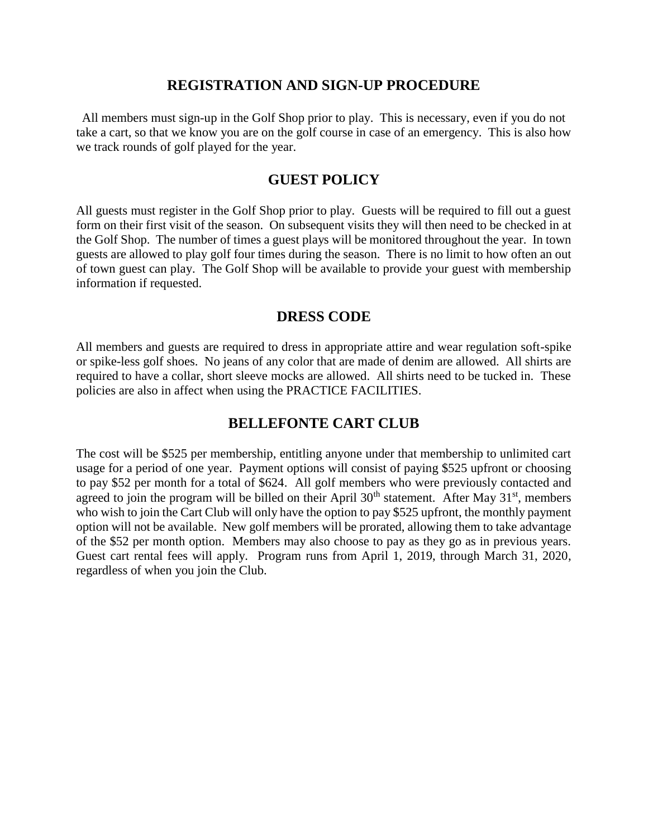#### **REGISTRATION AND SIGN-UP PROCEDURE**

All members must sign-up in the Golf Shop prior to play. This is necessary, even if you do not take a cart, so that we know you are on the golf course in case of an emergency. This is also how we track rounds of golf played for the year.

#### **GUEST POLICY**

All guests must register in the Golf Shop prior to play. Guests will be required to fill out a guest form on their first visit of the season. On subsequent visits they will then need to be checked in at the Golf Shop. The number of times a guest plays will be monitored throughout the year. In town guests are allowed to play golf four times during the season. There is no limit to how often an out of town guest can play. The Golf Shop will be available to provide your guest with membership information if requested.

## **DRESS CODE**

All members and guests are required to dress in appropriate attire and wear regulation soft-spike or spike-less golf shoes. No jeans of any color that are made of denim are allowed. All shirts are required to have a collar, short sleeve mocks are allowed. All shirts need to be tucked in. These policies are also in affect when using the PRACTICE FACILITIES.

## **BELLEFONTE CART CLUB**

The cost will be \$525 per membership, entitling anyone under that membership to unlimited cart usage for a period of one year. Payment options will consist of paying \$525 upfront or choosing to pay \$52 per month for a total of \$624. All golf members who were previously contacted and agreed to join the program will be billed on their April  $30<sup>th</sup>$  statement. After May  $31<sup>st</sup>$ , members who wish to join the Cart Club will only have the option to pay \$525 upfront, the monthly payment option will not be available. New golf members will be prorated, allowing them to take advantage of the \$52 per month option. Members may also choose to pay as they go as in previous years. Guest cart rental fees will apply. Program runs from April 1, 2019, through March 31, 2020, regardless of when you join the Club.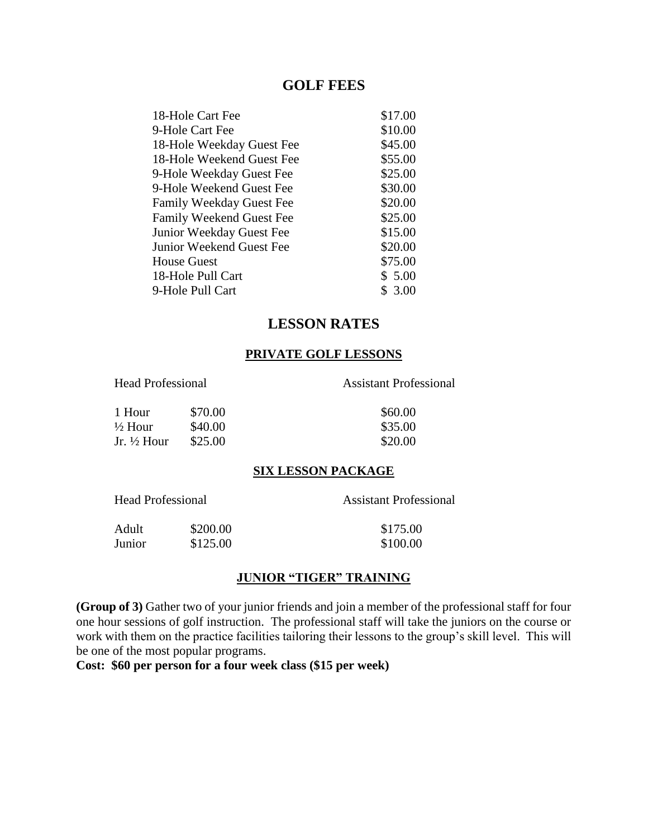#### **GOLF FEES**

| 18-Hole Cart Fee          | \$17.00 |
|---------------------------|---------|
| 9-Hole Cart Fee           | \$10.00 |
| 18-Hole Weekday Guest Fee | \$45.00 |
| 18-Hole Weekend Guest Fee | \$55.00 |
| 9-Hole Weekday Guest Fee  | \$25.00 |
| 9-Hole Weekend Guest Fee  | \$30.00 |
| Family Weekday Guest Fee  | \$20.00 |
| Family Weekend Guest Fee  | \$25.00 |
| Junior Weekday Guest Fee  | \$15.00 |
| Junior Weekend Guest Fee  | \$20.00 |
| <b>House Guest</b>        | \$75.00 |
| 18-Hole Pull Cart         | \$5.00  |
| 9-Hole Pull Cart          | \$3.00  |
|                           |         |

# **LESSON RATES**

#### **PRIVATE GOLF LESSONS**

Head Professional Assistant Professional

| 1 Hour     | \$70.00 | \$60.00 |
|------------|---------|---------|
| ½ Hour     | \$40.00 | \$35.00 |
| Jr. ½ Hour | \$25.00 | \$20.00 |

#### **SIX LESSON PACKAGE**

Head Professional Assistant Professional

| Adult  | \$200.00 | \$175.00 |
|--------|----------|----------|
| Junior | \$125.00 | \$100.00 |

#### **JUNIOR "TIGER" TRAINING**

**(Group of 3)** Gather two of your junior friends and join a member of the professional staff for four one hour sessions of golf instruction. The professional staff will take the juniors on the course or work with them on the practice facilities tailoring their lessons to the group's skill level. This will be one of the most popular programs.

**Cost: \$60 per person for a four week class (\$15 per week)**